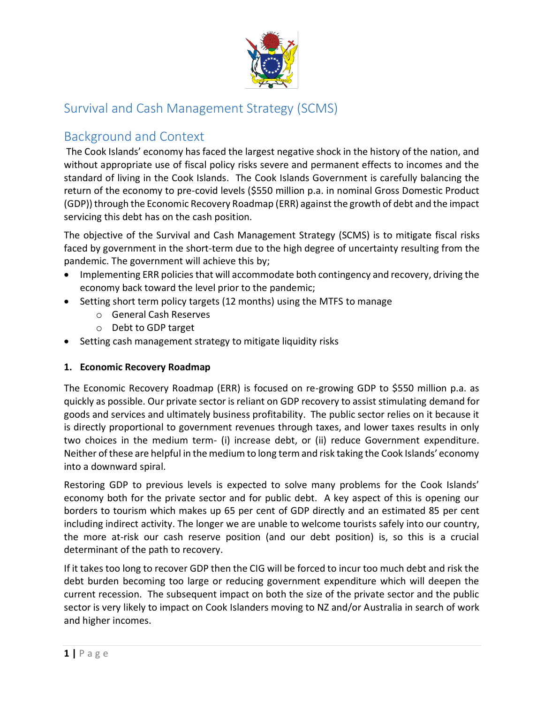

# Survival and Cash Management Strategy (SCMS)

# Background and Context

The Cook Islands' economy has faced the largest negative shock in the history of the nation, and without appropriate use of fiscal policy risks severe and permanent effects to incomes and the standard of living in the Cook Islands. The Cook Islands Government is carefully balancing the return of the economy to pre-covid levels (\$550 million p.a. in nominal Gross Domestic Product (GDP)) through the Economic Recovery Roadmap (ERR) against the growth of debt and the impact servicing this debt has on the cash position.

The objective of the Survival and Cash Management Strategy (SCMS) is to mitigate fiscal risks faced by government in the short-term due to the high degree of uncertainty resulting from the pandemic. The government will achieve this by;

- Implementing ERR policies that will accommodate both contingency and recovery, driving the economy back toward the level prior to the pandemic;
- Setting short term policy targets (12 months) using the MTFS to manage
	- o General Cash Reserves
	- o Debt to GDP target
- Setting cash management strategy to mitigate liquidity risks

#### **1. Economic Recovery Roadmap**

The Economic Recovery Roadmap (ERR) is focused on re-growing GDP to \$550 million p.a. as quickly as possible. Our private sector is reliant on GDP recovery to assist stimulating demand for goods and services and ultimately business profitability. The public sector relies on it because it is directly proportional to government revenues through taxes, and lower taxes results in only two choices in the medium term- (i) increase debt, or (ii) reduce Government expenditure. Neither of these are helpful in the medium to long term and risk taking the Cook Islands' economy into a downward spiral.

Restoring GDP to previous levels is expected to solve many problems for the Cook Islands' economy both for the private sector and for public debt. A key aspect of this is opening our borders to tourism which makes up 65 per cent of GDP directly and an estimated 85 per cent including indirect activity. The longer we are unable to welcome tourists safely into our country, the more at-risk our cash reserve position (and our debt position) is, so this is a crucial determinant of the path to recovery.

If it takes too long to recover GDP then the CIG will be forced to incur too much debt and risk the debt burden becoming too large or reducing government expenditure which will deepen the current recession. The subsequent impact on both the size of the private sector and the public sector is very likely to impact on Cook Islanders moving to NZ and/or Australia in search of work and higher incomes.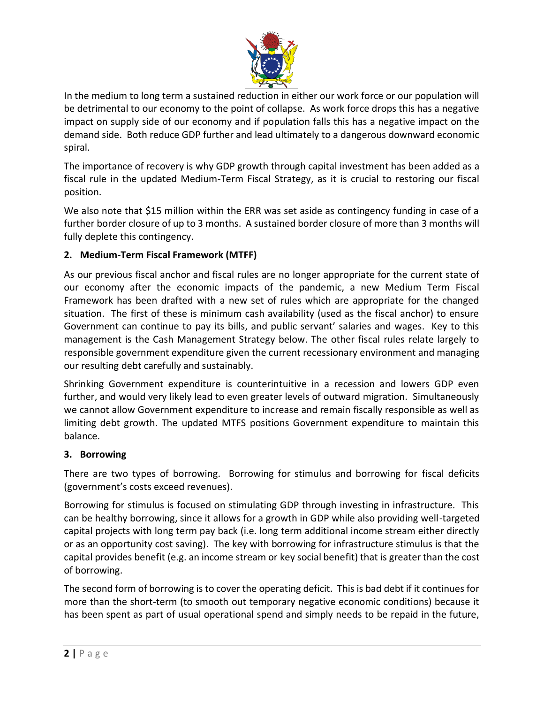

In the medium to long term a sustained reduction in either our work force or our population will be detrimental to our economy to the point of collapse. As work force drops this has a negative impact on supply side of our economy and if population falls this has a negative impact on the demand side. Both reduce GDP further and lead ultimately to a dangerous downward economic spiral.

The importance of recovery is why GDP growth through capital investment has been added as a fiscal rule in the updated Medium-Term Fiscal Strategy, as it is crucial to restoring our fiscal position.

We also note that \$15 million within the ERR was set aside as contingency funding in case of a further border closure of up to 3 months. A sustained border closure of more than 3 months will fully deplete this contingency.

## **2. Medium-Term Fiscal Framework (MTFF)**

As our previous fiscal anchor and fiscal rules are no longer appropriate for the current state of our economy after the economic impacts of the pandemic, a new Medium Term Fiscal Framework has been drafted with a new set of rules which are appropriate for the changed situation. The first of these is minimum cash availability (used as the fiscal anchor) to ensure Government can continue to pay its bills, and public servant' salaries and wages. Key to this management is the Cash Management Strategy below. The other fiscal rules relate largely to responsible government expenditure given the current recessionary environment and managing our resulting debt carefully and sustainably.

Shrinking Government expenditure is counterintuitive in a recession and lowers GDP even further, and would very likely lead to even greater levels of outward migration. Simultaneously we cannot allow Government expenditure to increase and remain fiscally responsible as well as limiting debt growth. The updated MTFS positions Government expenditure to maintain this balance.

#### **3. Borrowing**

There are two types of borrowing. Borrowing for stimulus and borrowing for fiscal deficits (government's costs exceed revenues).

Borrowing for stimulus is focused on stimulating GDP through investing in infrastructure. This can be healthy borrowing, since it allows for a growth in GDP while also providing well-targeted capital projects with long term pay back (i.e. long term additional income stream either directly or as an opportunity cost saving). The key with borrowing for infrastructure stimulus is that the capital provides benefit (e.g. an income stream or key social benefit) that is greater than the cost of borrowing.

The second form of borrowing is to cover the operating deficit. This is bad debt if it continues for more than the short-term (to smooth out temporary negative economic conditions) because it has been spent as part of usual operational spend and simply needs to be repaid in the future,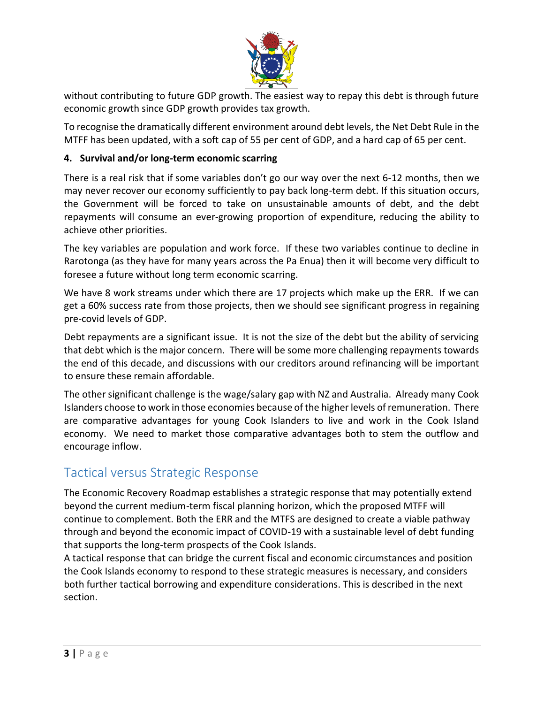

without contributing to future GDP growth. The easiest way to repay this debt is through future economic growth since GDP growth provides tax growth.

To recognise the dramatically different environment around debt levels, the Net Debt Rule in the MTFF has been updated, with a soft cap of 55 per cent of GDP, and a hard cap of 65 per cent.

#### **4. Survival and/or long-term economic scarring**

There is a real risk that if some variables don't go our way over the next 6-12 months, then we may never recover our economy sufficiently to pay back long-term debt. If this situation occurs, the Government will be forced to take on unsustainable amounts of debt, and the debt repayments will consume an ever-growing proportion of expenditure, reducing the ability to achieve other priorities.

The key variables are population and work force. If these two variables continue to decline in Rarotonga (as they have for many years across the Pa Enua) then it will become very difficult to foresee a future without long term economic scarring.

We have 8 work streams under which there are 17 projects which make up the ERR. If we can get a 60% success rate from those projects, then we should see significant progress in regaining pre-covid levels of GDP.

Debt repayments are a significant issue. It is not the size of the debt but the ability of servicing that debt which is the major concern. There will be some more challenging repayments towards the end of this decade, and discussions with our creditors around refinancing will be important to ensure these remain affordable.

The other significant challenge is the wage/salary gap with NZ and Australia. Already many Cook Islanders choose to work in those economies because of the higher levels of remuneration. There are comparative advantages for young Cook Islanders to live and work in the Cook Island economy. We need to market those comparative advantages both to stem the outflow and encourage inflow.

## Tactical versus Strategic Response

The Economic Recovery Roadmap establishes a strategic response that may potentially extend beyond the current medium-term fiscal planning horizon, which the proposed MTFF will continue to complement. Both the ERR and the MTFS are designed to create a viable pathway through and beyond the economic impact of COVID-19 with a sustainable level of debt funding that supports the long-term prospects of the Cook Islands.

A tactical response that can bridge the current fiscal and economic circumstances and position the Cook Islands economy to respond to these strategic measures is necessary, and considers both further tactical borrowing and expenditure considerations. This is described in the next section.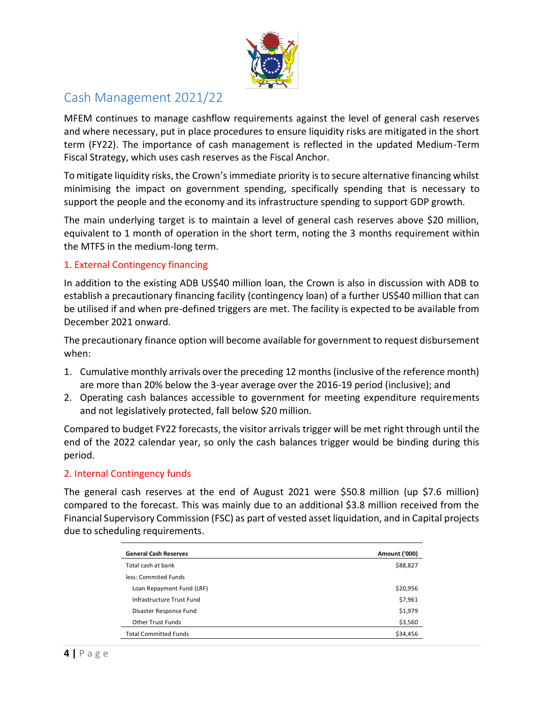

# Cash Management 2021/22

MFEM continues to manage cashflow requirements against the level of general cash reserves and where necessary, put in place procedures to ensure liquidity risks are mitigated in the short term (FY22). The importance of cash management is reflected in the updated Medium-Term Fiscal Strategy, which uses cash reserves as the Fiscal Anchor.

To mitigate liquidity risks, the Crown's immediate priority is to secure alternative financing whilst minimising the impact on government spending, specifically spending that is necessary to support the people and the economy and its infrastructure spending to support GDP growth.

The main underlying target is to maintain a level of general cash reserves above \$20 million, equivalent to 1 month of operation in the short term, noting the 3 months requirement within the MTFS in the medium-long term.

#### 1. External Contingency financing

In addition to the existing ADB US\$40 million loan, the Crown is also in discussion with ADB to establish a precautionary financing facility (contingency loan) of a further US\$40 million that can be utilised if and when pre-defined triggers are met. The facility is expected to be available from December 2021 onward.

The precautionary finance option will become available for government to request disbursement when:

- 1. Cumulative monthly arrivals over the preceding 12 months (inclusive of the reference month) are more than 20% below the 3-year average over the 2016-19 period (inclusive); and
- 2. Operating cash balances accessible to government for meeting expenditure requirements and not legislatively protected, fall below \$20 million.

Compared to budget FY22 forecasts, the visitor arrivals trigger will be met right through until the end of the 2022 calendar year, so only the cash balances trigger would be binding during this period.

#### 2. Internal Contingency funds

The general cash reserves at the end of August 2021 were \$50.8 million (up \$7.6 million) compared to the forecast. This was mainly due to an additional \$3.8 million received from the Financial Supervisory Commission (FSC) as part of vested asset liquidation, and in Capital projects due to scheduling requirements.

| <b>General Cash Reserves</b> | <b>Amount ('000)</b> |
|------------------------------|----------------------|
| Total cash at bank           | \$88,827             |
| less: Commited Funds         |                      |
| Loan Repayment Fund (LRF)    | \$20,956             |
| Infrastructure Trust Fund    | \$7,961              |
| Disaster Response Fund       | \$1,979              |
| <b>Other Trust Funds</b>     | \$3,560              |
| <b>Total Committed Funds</b> | \$34,456             |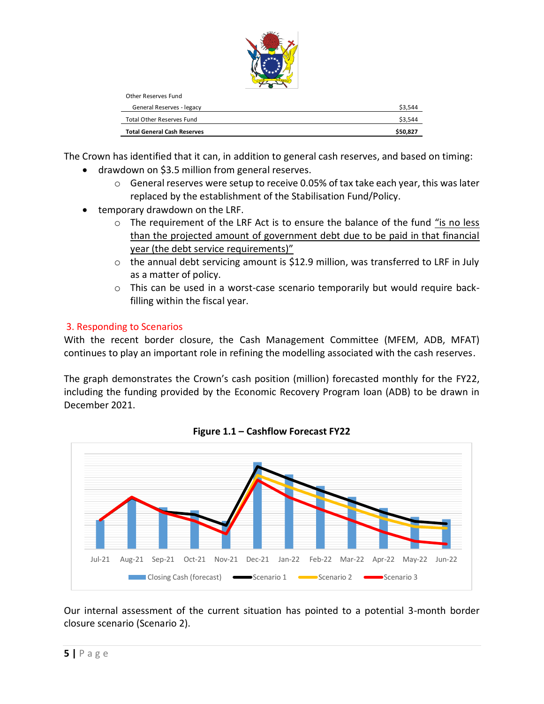

| <b>Total General Cash Reserves</b> | \$50,827 |
|------------------------------------|----------|
| <b>Total Other Reserves Fund</b>   | \$3,544  |
| General Reserves - legacy          | \$3.544  |
| Other Reserves Fund                |          |

The Crown has identified that it can, in addition to general cash reserves, and based on timing:

- drawdown on \$3.5 million from general reserves.
	- $\circ$  General reserves were setup to receive 0.05% of tax take each year, this was later replaced by the establishment of the Stabilisation Fund/Policy.
- temporary drawdown on the LRF.
	- o The requirement of the LRF Act is to ensure the balance of the fund "is no less than the projected amount of government debt due to be paid in that financial year (the debt service requirements)"
	- $\circ$  the annual debt servicing amount is \$12.9 million, was transferred to LRF in July as a matter of policy.
	- o This can be used in a worst-case scenario temporarily but would require backfilling within the fiscal year.

## 3. Responding to Scenarios

With the recent border closure, the Cash Management Committee (MFEM, ADB, MFAT) continues to play an important role in refining the modelling associated with the cash reserves.

The graph demonstrates the Crown's cash position (million) forecasted monthly for the FY22, including the funding provided by the Economic Recovery Program loan (ADB) to be drawn in December 2021.



**Figure 1.1 – Cashflow Forecast FY22**

Our internal assessment of the current situation has pointed to a potential 3-month border closure scenario (Scenario 2).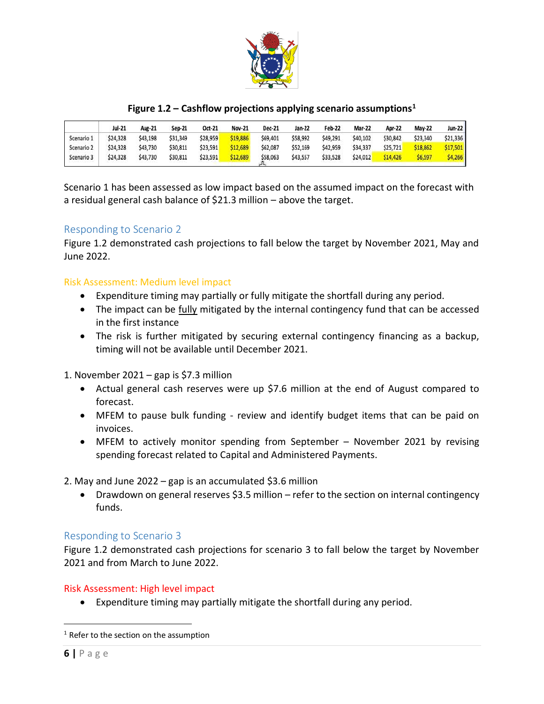

#### **Figure 1.2 – Cashflow projections applying scenario assumptions<sup>1</sup>**

|            | Jul-21   | Aug-21   | <b>Sep-21</b> | Oct-21   | <b>Nov-21</b> | <b>Dec-21</b> | Jan-22   | <b>Feb-22</b> | <b>Mar-22</b> | <b>Apr-22</b> | <b>May-22</b> | $Jun-22$ |
|------------|----------|----------|---------------|----------|---------------|---------------|----------|---------------|---------------|---------------|---------------|----------|
| Scenario 1 | \$24,328 | \$43,198 | \$31,349      | \$28,959 | \$19,886      | \$69,401      | \$58,992 | \$49,291      | \$40,102      | \$30,842      | \$23,340      | \$21,336 |
| Scenario 2 | \$24,328 | \$43,730 | \$30,811      | \$23,591 | \$12,689      | \$62,087      | \$52,169 | \$42,959      | \$34,337      | \$25,721      | \$18,862      | \$17,501 |
| Scenario 3 | \$24,328 | \$43,730 | \$30,811      | \$23,591 | \$12,689      | \$58,063      | \$43,557 | \$33,528      | \$24,012      | \$14,426      | \$6,597       | \$4,266  |

Scenario 1 has been assessed as low impact based on the assumed impact on the forecast with a residual general cash balance of \$21.3 million – above the target.

#### Responding to Scenario 2

Figure 1.2 demonstrated cash projections to fall below the target by November 2021, May and June 2022.

#### Risk Assessment: Medium level impact

- Expenditure timing may partially or fully mitigate the shortfall during any period.
- The impact can be fully mitigated by the internal contingency fund that can be accessed in the first instance
- The risk is further mitigated by securing external contingency financing as a backup, timing will not be available until December 2021.

1. November 2021 – gap is \$7.3 million

- Actual general cash reserves were up \$7.6 million at the end of August compared to forecast.
- MFEM to pause bulk funding review and identify budget items that can be paid on invoices.
- MFEM to actively monitor spending from September November 2021 by revising spending forecast related to Capital and Administered Payments.

2. May and June 2022 – gap is an accumulated \$3.6 million

 Drawdown on general reserves \$3.5 million – refer to the section on internal contingency funds.

#### Responding to Scenario 3

Figure 1.2 demonstrated cash projections for scenario 3 to fall below the target by November 2021 and from March to June 2022.

#### Risk Assessment: High level impact

Expenditure timing may partially mitigate the shortfall during any period.

 $\overline{a}$ 

 $1$  Refer to the section on the assumption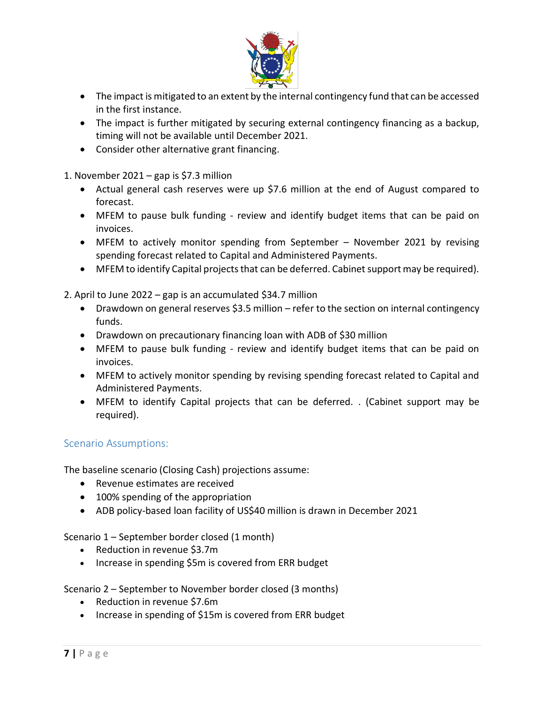

- The impact is mitigated to an extent by the internal contingency fund that can be accessed in the first instance.
- The impact is further mitigated by securing external contingency financing as a backup, timing will not be available until December 2021.
- Consider other alternative grant financing.

1. November 2021 – gap is \$7.3 million

- Actual general cash reserves were up \$7.6 million at the end of August compared to forecast.
- MFEM to pause bulk funding review and identify budget items that can be paid on invoices.
- MFEM to actively monitor spending from September November 2021 by revising spending forecast related to Capital and Administered Payments.
- MFEM to identify Capital projects that can be deferred. Cabinet support may be required).
- 2. April to June 2022 gap is an accumulated \$34.7 million
	- Drawdown on general reserves \$3.5 million refer to the section on internal contingency funds.
	- Drawdown on precautionary financing loan with ADB of \$30 million
	- MFEM to pause bulk funding review and identify budget items that can be paid on invoices.
	- MFEM to actively monitor spending by revising spending forecast related to Capital and Administered Payments.
	- MFEM to identify Capital projects that can be deferred. . (Cabinet support may be required).

## Scenario Assumptions:

The baseline scenario (Closing Cash) projections assume:

- Revenue estimates are received
- 100% spending of the appropriation
- ADB policy-based loan facility of US\$40 million is drawn in December 2021

#### Scenario 1 – September border closed (1 month)

- Reduction in revenue \$3.7m
- Increase in spending \$5m is covered from ERR budget

Scenario 2 – September to November border closed (3 months)

- Reduction in revenue \$7.6m
- Increase in spending of \$15m is covered from ERR budget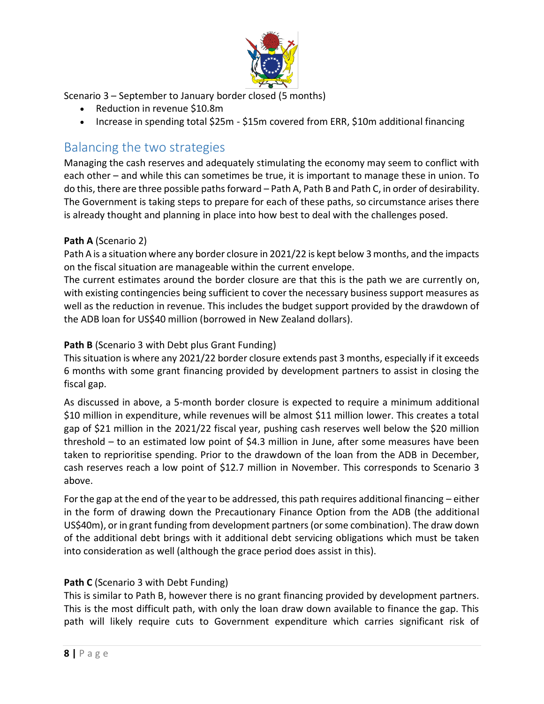

Scenario 3 – September to January border closed (5 months)

- Reduction in revenue \$10.8m
- Increase in spending total \$25m \$15m covered from ERR, \$10m additional financing

## Balancing the two strategies

Managing the cash reserves and adequately stimulating the economy may seem to conflict with each other – and while this can sometimes be true, it is important to manage these in union. To do this, there are three possible paths forward – Path A, Path B and Path C, in order of desirability. The Government is taking steps to prepare for each of these paths, so circumstance arises there is already thought and planning in place into how best to deal with the challenges posed.

## **Path A** (Scenario 2)

Path A is a situation where any border closure in 2021/22 is kept below 3 months, and the impacts on the fiscal situation are manageable within the current envelope.

The current estimates around the border closure are that this is the path we are currently on, with existing contingencies being sufficient to cover the necessary business support measures as well as the reduction in revenue. This includes the budget support provided by the drawdown of the ADB loan for US\$40 million (borrowed in New Zealand dollars).

## **Path B** (Scenario 3 with Debt plus Grant Funding)

This situation is where any 2021/22 border closure extends past 3 months, especially if it exceeds 6 months with some grant financing provided by development partners to assist in closing the fiscal gap.

As discussed in above, a 5-month border closure is expected to require a minimum additional \$10 million in expenditure, while revenues will be almost \$11 million lower. This creates a total gap of \$21 million in the 2021/22 fiscal year, pushing cash reserves well below the \$20 million threshold – to an estimated low point of \$4.3 million in June, after some measures have been taken to reprioritise spending. Prior to the drawdown of the loan from the ADB in December, cash reserves reach a low point of \$12.7 million in November. This corresponds to Scenario 3 above.

For the gap at the end of the year to be addressed, this path requires additional financing – either in the form of drawing down the Precautionary Finance Option from the ADB (the additional US\$40m), or in grant funding from development partners (or some combination). The draw down of the additional debt brings with it additional debt servicing obligations which must be taken into consideration as well (although the grace period does assist in this).

## **Path C** (Scenario 3 with Debt Funding)

This is similar to Path B, however there is no grant financing provided by development partners. This is the most difficult path, with only the loan draw down available to finance the gap. This path will likely require cuts to Government expenditure which carries significant risk of